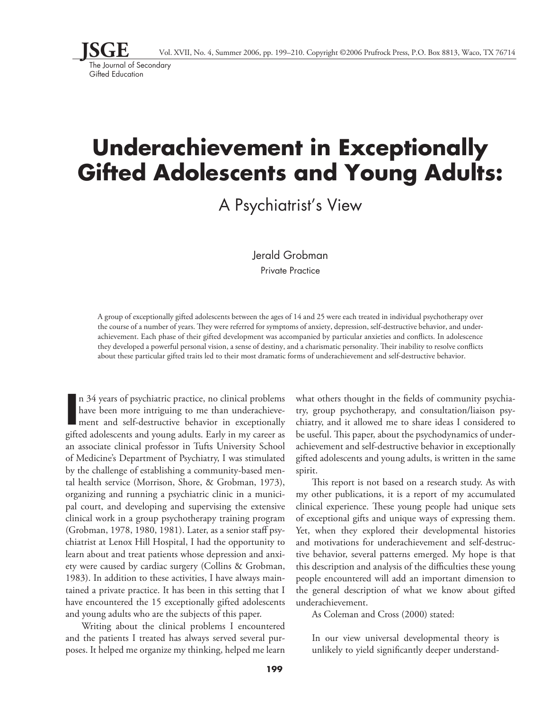The Journal of Secondary Gifted Education **JSGE**

# **Underachievement in Exceptionally Gifted Adolescents and Young Adults:**

A Psychiatrist's View

Jerald Grobman Private Practice

A group of exceptionally gifted adolescents between the ages of 14 and 25 were each treated in individual psychotherapy over the course of a number of years. They were referred for symptoms of anxiety, depression, self-destructive behavior, and underachievement. Each phase of their gifted development was accompanied by particular anxieties and conflicts. In adolescence they developed a powerful personal vision, a sense of destiny, and a charismatic personality. Their inability to resolve conflicts about these particular gifted traits led to their most dramatic forms of underachievement and self-destructive behavior.

**I**<br>**I** n 34 years of psychiatric practice, no clinical problems have been more intriguing to me than underachievement and self-destructive behavior in exceptionally gifted adolescents and young adults. Early in my career as an associate clinical professor in Tufts University School of Medicine's Department of Psychiatry, I was stimulated by the challenge of establishing a community-based mental health service (Morrison, Shore, & Grobman, 1973), organizing and running a psychiatric clinic in a municipal court, and developing and supervising the extensive clinical work in a group psychotherapy training program (Grobman, 1978, 1980, 1981). Later, as a senior staff psychiatrist at Lenox Hill Hospital, I had the opportunity to learn about and treat patients whose depression and anxiety were caused by cardiac surgery (Collins & Grobman, 1983). In addition to these activities, I have always maintained a private practice. It has been in this setting that I have encountered the 15 exceptionally gifted adolescents and young adults who are the subjects of this paper.

Writing about the clinical problems I encountered and the patients I treated has always served several purposes. It helped me organize my thinking, helped me learn what others thought in the fields of community psychiatry, group psychotherapy, and consultation/liaison psychiatry, and it allowed me to share ideas I considered to be useful. This paper, about the psychodynamics of underachievement and self-destructive behavior in exceptionally gifted adolescents and young adults, is written in the same spirit.

This report is not based on a research study. As with my other publications, it is a report of my accumulated clinical experience. These young people had unique sets of exceptional gifts and unique ways of expressing them. Yet, when they explored their developmental histories and motivations for underachievement and self-destructive behavior, several patterns emerged. My hope is that this description and analysis of the difficulties these young people encountered will add an important dimension to the general description of what we know about gifted underachievement.

As Coleman and Cross (2000) stated:

In our view universal developmental theory is unlikely to yield significantly deeper understand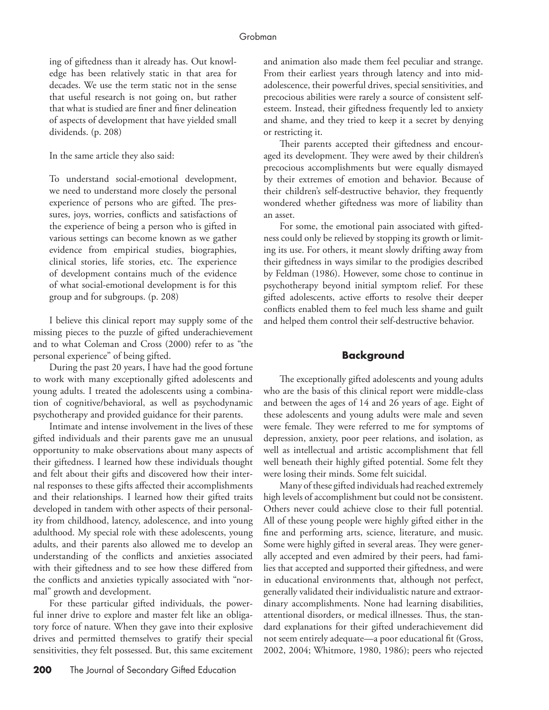ing of giftedness than it already has. Out knowledge has been relatively static in that area for decades. We use the term static not in the sense that useful research is not going on, but rather that what is studied are finer and finer delineation of aspects of development that have yielded small dividends. (p. 208)

In the same article they also said:

To understand social-emotional development, we need to understand more closely the personal experience of persons who are gifted. The pressures, joys, worries, conflicts and satisfactions of the experience of being a person who is gifted in various settings can become known as we gather evidence from empirical studies, biographies, clinical stories, life stories, etc. The experience of development contains much of the evidence of what social-emotional development is for this group and for subgroups. (p. 208)

I believe this clinical report may supply some of the missing pieces to the puzzle of gifted underachievement and to what Coleman and Cross (2000) refer to as "the personal experience" of being gifted.

During the past 20 years, I have had the good fortune to work with many exceptionally gifted adolescents and young adults. I treated the adolescents using a combination of cognitive/behavioral, as well as psychodynamic psychotherapy and provided guidance for their parents.

Intimate and intense involvement in the lives of these gifted individuals and their parents gave me an unusual opportunity to make observations about many aspects of their giftedness. I learned how these individuals thought and felt about their gifts and discovered how their internal responses to these gifts affected their accomplishments and their relationships. I learned how their gifted traits developed in tandem with other aspects of their personality from childhood, latency, adolescence, and into young adulthood. My special role with these adolescents, young adults, and their parents also allowed me to develop an understanding of the conflicts and anxieties associated with their giftedness and to see how these differed from the conflicts and anxieties typically associated with "normal" growth and development.

For these particular gifted individuals, the powerful inner drive to explore and master felt like an obligatory force of nature. When they gave into their explosive drives and permitted themselves to gratify their special sensitivities, they felt possessed. But, this same excitement and animation also made them feel peculiar and strange. From their earliest years through latency and into midadolescence, their powerful drives, special sensitivities, and precocious abilities were rarely a source of consistent selfesteem. Instead, their giftedness frequently led to anxiety and shame, and they tried to keep it a secret by denying or restricting it.

Their parents accepted their giftedness and encouraged its development. They were awed by their children's precocious accomplishments but were equally dismayed by their extremes of emotion and behavior. Because of their children's self-destructive behavior, they frequently wondered whether giftedness was more of liability than an asset.

For some, the emotional pain associated with giftedness could only be relieved by stopping its growth or limiting its use. For others, it meant slowly drifting away from their giftedness in ways similar to the prodigies described by Feldman (1986). However, some chose to continue in psychotherapy beyond initial symptom relief. For these gifted adolescents, active efforts to resolve their deeper conflicts enabled them to feel much less shame and guilt and helped them control their self-destructive behavior.

## **Background**

The exceptionally gifted adolescents and young adults who are the basis of this clinical report were middle-class and between the ages of 14 and 26 years of age. Eight of these adolescents and young adults were male and seven were female. They were referred to me for symptoms of depression, anxiety, poor peer relations, and isolation, as well as intellectual and artistic accomplishment that fell well beneath their highly gifted potential. Some felt they were losing their minds. Some felt suicidal.

Many of these gifted individuals had reached extremely high levels of accomplishment but could not be consistent. Others never could achieve close to their full potential. All of these young people were highly gifted either in the fine and performing arts, science, literature, and music. Some were highly gifted in several areas. They were generally accepted and even admired by their peers, had families that accepted and supported their giftedness, and were in educational environments that, although not perfect, generally validated their individualistic nature and extraordinary accomplishments. None had learning disabilities, attentional disorders, or medical illnesses. Thus, the standard explanations for their gifted underachievement did not seem entirely adequate—a poor educational fit (Gross, 2002, 2004; Whitmore, 1980, 1986); peers who rejected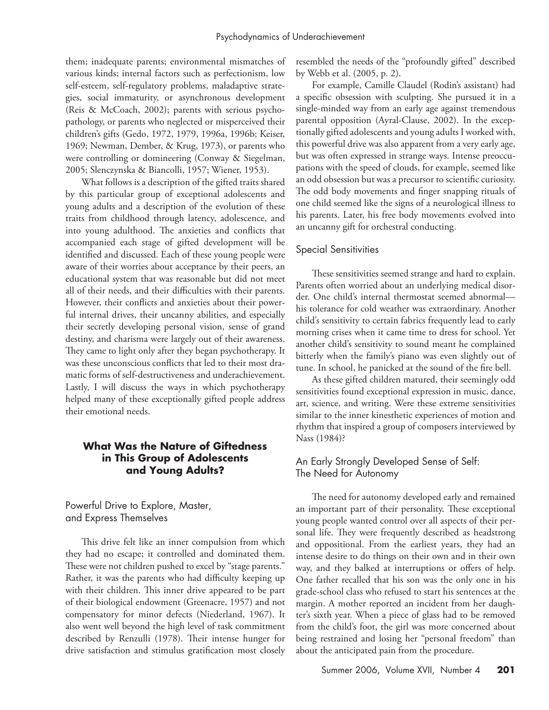them; inadequate parents; environmental mismatches of various kinds; internal factors such as perfectionism, low self-esteem, self-regulatory problems, maladaptive strategies, social immaturity, or asynchronous development (Reis & McCoach, 2002); parents with serious psychopathology, or parents who neglected or misperceived their children's gifts (Gedo, 1972, 1979, 1996a, 1996b; Keiser, 1969; Newman, Dember, & Krug, 1973), or parents who were controlling or domineering (Conway & Siegelman, 2005; Slenczynska & Biancolli, 1957; Wiener, 1953).

What follows is a description of the gifted traits shared by this particular group of exceptional adolescents and young adults and a description of the evolution of these traits from childhood through latency, adolescence, and into young adulthood. The anxieties and conflicts that accompanied each stage of gifted development will be identified and discussed. Each of these young people were aware of their worries about acceptance by their peers, an educational system that was reasonable but did not meet all of their needs, and their difficulties with their parents. However, their conflicts and anxieties about their powerful internal drives, their uncanny abilities, and especially their secretly developing personal vision, sense of grand destiny, and charisma were largely out of their awareness. They came to light only after they began psychotherapy. It was these unconscious conflicts that led to their most dramatic forms of self-destructiveness and underachievement. Lastly, I will discuss the ways in which psychotherapy helped many of these exceptionally gifted people address their emotional needs.

# **What Was the Nature of Giftedness in This Group of Adolescents and Young Adults?**

Powerful Drive to Explore, Master, and Express Themselves

This drive felt like an inner compulsion from which they had no escape; it controlled and dominated them. These were not children pushed to excel by "stage parents." Rather, it was the parents who had difficulty keeping up with their children. This inner drive appeared to be part of their biological endowment (Greenacre, 1957) and not compensatory for minor defects (Niederland, 1967). It also went well beyond the high level of task commitment described by Renzulli (1978). Their intense hunger for drive satisfaction and stimulus gratification most closely resembled the needs of the "profoundly gifted" described by Webb et al. (2005, p. 2).

For example, Camille Claudel (Rodin's assistant) had a specific obsession with sculpting. She pursued it in a single-minded way from an early age against tremendous parental opposition (Ayral-Clause, 2002). In the exceptionally gifted adolescents and young adults I worked with, this powerful drive was also apparent from a very early age, but was often expressed in strange ways. Intense preoccupations with the speed of clouds, for example, seemed like an odd obsession but was a precursor to scientific curiosity. The odd body movements and finger snapping rituals of one child seemed like the signs of a neurological illness to his parents. Later, his free body movements evolved into an uncanny gift for orchestral conducting.

#### Special Sensitivities

These sensitivities seemed strange and hard to explain. Parents often worried about an underlying medical disorder. One child's internal thermostat seemed abnormal his tolerance for cold weather was extraordinary. Another child's sensitivity to certain fabrics frequently lead to early morning crises when it came time to dress for school. Yet another child's sensitivity to sound meant he complained bitterly when the family's piano was even slightly out of tune. In school, he panicked at the sound of the fire bell.

As these gifted children matured, their seemingly odd sensitivities found exceptional expression in music, dance, art, science, and writing. Were these extreme sensitivities similar to the inner kinesthetic experiences of motion and rhythm that inspired a group of composers interviewed by Nass (1984)?

## An Early Strongly Developed Sense of Self: The Need for Autonomy

The need for autonomy developed early and remained an important part of their personality. These exceptional young people wanted control over all aspects of their personal life. They were frequently described as headstrong and oppositional. From the earliest years, they had an intense desire to do things on their own and in their own way, and they balked at interruptions or offers of help. One father recalled that his son was the only one in his grade-school class who refused to start his sentences at the margin. A mother reported an incident from her daughter's sixth year. When a piece of glass had to be removed from the child's foot, the girl was more concerned about being restrained and losing her "personal freedom" than about the anticipated pain from the procedure.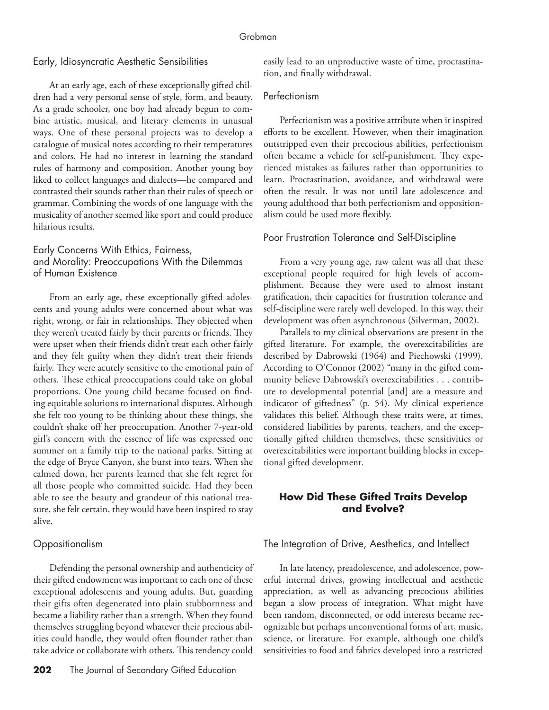#### Early, Idiosyncratic Aesthetic Sensibilities

At an early age, each of these exceptionally gifted children had a very personal sense of style, form, and beauty. As a grade schooler, one boy had already begun to combine artistic, musical, and literary elements in unusual ways. One of these personal projects was to develop a catalogue of musical notes according to their temperatures and colors. He had no interest in learning the standard rules of harmony and composition. Another young boy liked to collect languages and dialects—he compared and contrasted their sounds rather than their rules of speech or grammar. Combining the words of one language with the musicality of another seemed like sport and could produce hilarious results.

## Early Concerns With Ethics, Fairness, and Morality: Preoccupations With the Dilemmas of Human Existence

From an early age, these exceptionally gifted adolescents and young adults were concerned about what was right, wrong, or fair in relationships. They objected when they weren't treated fairly by their parents or friends. They were upset when their friends didn't treat each other fairly and they felt guilty when they didn't treat their friends fairly. They were acutely sensitive to the emotional pain of others. These ethical preoccupations could take on global proportions. One young child became focused on finding equitable solutions to international disputes. Although she felt too young to be thinking about these things, she couldn't shake off her preoccupation. Another 7-year-old girl's concern with the essence of life was expressed one summer on a family trip to the national parks. Sitting at the edge of Bryce Canyon, she burst into tears. When she calmed down, her parents learned that she felt regret for all those people who committed suicide. Had they been able to see the beauty and grandeur of this national treasure, she felt certain, they would have been inspired to stay alive.

#### Oppositionalism

Defending the personal ownership and authenticity of their gifted endowment was important to each one of these exceptional adolescents and young adults. But, guarding their gifts often degenerated into plain stubbornness and became a liability rather than a strength. When they found themselves struggling beyond whatever their precious abilities could handle, they would often flounder rather than take advice or collaborate with others. This tendency could

easily lead to an unproductive waste of time, procrastination, and finally withdrawal.

#### Perfectionism

Perfectionism was a positive attribute when it inspired efforts to be excellent. However, when their imagination outstripped even their precocious abilities, perfectionism often became a vehicle for self-punishment. They experienced mistakes as failures rather than opportunities to learn. Procrastination, avoidance, and withdrawal were often the result. It was not until late adolescence and young adulthood that both perfectionism and oppositionalism could be used more flexibly.

#### Poor Frustration Tolerance and Self-Discipline

From a very young age, raw talent was all that these exceptional people required for high levels of accomplishment. Because they were used to almost instant gratification, their capacities for frustration tolerance and self-discipline were rarely well developed. In this way, their development was often asynchronous (Silverman, 2002).

Parallels to my clinical observations are present in the gifted literature. For example, the overexcitabilities are described by Dabrowski (1964) and Piechowski (1999). According to O'Connor (2002) "many in the gifted community believe Dabrowski's overexcitabilities . . . contribute to developmental potential [and] are a measure and indicator of giftedness" (p. 54). My clinical experience validates this belief. Although these traits were, at times, considered liabilities by parents, teachers, and the exceptionally gifted children themselves, these sensitivities or overexcitabilities were important building blocks in exceptional gifted development.

# **How Did These Gifted Traits Develop and Evolve?**

#### The Integration of Drive, Aesthetics, and Intellect

In late latency, preadolescence, and adolescence, powerful internal drives, growing intellectual and aesthetic appreciation, as well as advancing precocious abilities began a slow process of integration. What might have been random, disconnected, or odd interests became recognizable but perhaps unconventional forms of art, music, science, or literature. For example, although one child's sensitivities to food and fabrics developed into a restricted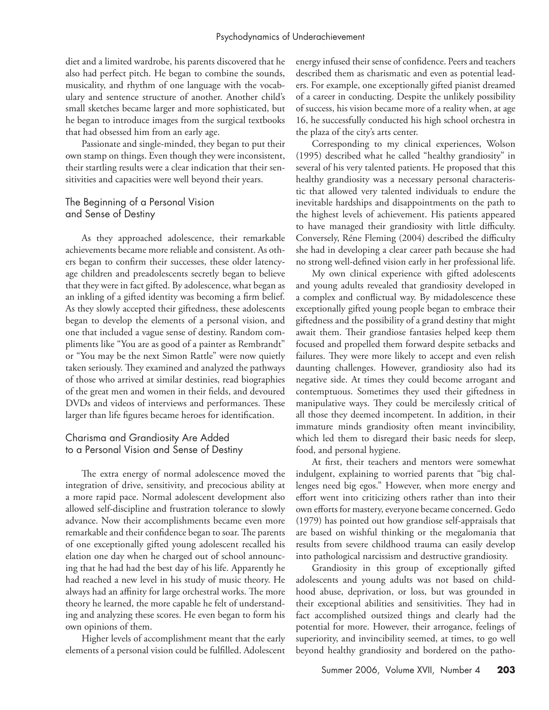diet and a limited wardrobe, his parents discovered that he also had perfect pitch. He began to combine the sounds, musicality, and rhythm of one language with the vocabulary and sentence structure of another. Another child's small sketches became larger and more sophisticated, but he began to introduce images from the surgical textbooks that had obsessed him from an early age.

Passionate and single-minded, they began to put their own stamp on things. Even though they were inconsistent, their startling results were a clear indication that their sensitivities and capacities were well beyond their years.

## The Beginning of a Personal Vision and Sense of Destiny

As they approached adolescence, their remarkable achievements became more reliable and consistent. As others began to confirm their successes, these older latencyage children and preadolescents secretly began to believe that they were in fact gifted. By adolescence, what began as an inkling of a gifted identity was becoming a firm belief. As they slowly accepted their giftedness, these adolescents began to develop the elements of a personal vision, and one that included a vague sense of destiny. Random compliments like "You are as good of a painter as Rembrandt" or "You may be the next Simon Rattle" were now quietly taken seriously. They examined and analyzed the pathways of those who arrived at similar destinies, read biographies of the great men and women in their fields, and devoured DVDs and videos of interviews and performances. These larger than life figures became heroes for identification.

## Charisma and Grandiosity Are Added to a Personal Vision and Sense of Destiny

The extra energy of normal adolescence moved the integration of drive, sensitivity, and precocious ability at a more rapid pace. Normal adolescent development also allowed self-discipline and frustration tolerance to slowly advance. Now their accomplishments became even more remarkable and their confidence began to soar. The parents of one exceptionally gifted young adolescent recalled his elation one day when he charged out of school announcing that he had had the best day of his life. Apparently he had reached a new level in his study of music theory. He always had an affinity for large orchestral works. The more theory he learned, the more capable he felt of understanding and analyzing these scores. He even began to form his own opinions of them.

Higher levels of accomplishment meant that the early elements of a personal vision could be fulfilled. Adolescent energy infused their sense of confidence. Peers and teachers described them as charismatic and even as potential leaders. For example, one exceptionally gifted pianist dreamed of a career in conducting. Despite the unlikely possibility of success, his vision became more of a reality when, at age 16, he successfully conducted his high school orchestra in the plaza of the city's arts center.

Corresponding to my clinical experiences, Wolson (1995) described what he called "healthy grandiosity" in several of his very talented patients. He proposed that this healthy grandiosity was a necessary personal characteristic that allowed very talented individuals to endure the inevitable hardships and disappointments on the path to the highest levels of achievement. His patients appeared to have managed their grandiosity with little difficulty. Conversely, Réne Fleming (2004) described the difficulty she had in developing a clear career path because she had no strong well-defined vision early in her professional life.

My own clinical experience with gifted adolescents and young adults revealed that grandiosity developed in a complex and conflictual way. By midadolescence these exceptionally gifted young people began to embrace their giftedness and the possibility of a grand destiny that might await them. Their grandiose fantasies helped keep them focused and propelled them forward despite setbacks and failures. They were more likely to accept and even relish daunting challenges. However, grandiosity also had its negative side. At times they could become arrogant and contemptuous. Sometimes they used their giftedness in manipulative ways. They could be mercilessly critical of all those they deemed incompetent. In addition, in their immature minds grandiosity often meant invincibility, which led them to disregard their basic needs for sleep, food, and personal hygiene.

At first, their teachers and mentors were somewhat indulgent, explaining to worried parents that "big challenges need big egos." However, when more energy and effort went into criticizing others rather than into their own efforts for mastery, everyone became concerned. Gedo (1979) has pointed out how grandiose self-appraisals that are based on wishful thinking or the megalomania that results from severe childhood trauma can easily develop into pathological narcissism and destructive grandiosity.

Grandiosity in this group of exceptionally gifted adolescents and young adults was not based on childhood abuse, deprivation, or loss, but was grounded in their exceptional abilities and sensitivities. They had in fact accomplished outsized things and clearly had the potential for more. However, their arrogance, feelings of superiority, and invincibility seemed, at times, to go well beyond healthy grandiosity and bordered on the patho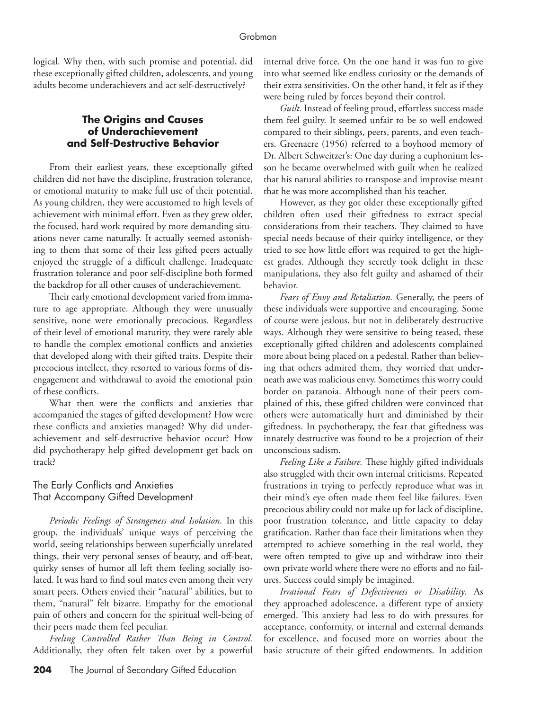logical. Why then, with such promise and potential, did these exceptionally gifted children, adolescents, and young adults become underachievers and act self-destructively?

## **The Origins and Causes of Underachievement and Self-Destructive Behavior**

From their earliest years, these exceptionally gifted children did not have the discipline, frustration tolerance, or emotional maturity to make full use of their potential. As young children, they were accustomed to high levels of achievement with minimal effort. Even as they grew older, the focused, hard work required by more demanding situations never came naturally. It actually seemed astonishing to them that some of their less gifted peers actually enjoyed the struggle of a difficult challenge. Inadequate frustration tolerance and poor self-discipline both formed the backdrop for all other causes of underachievement.

Their early emotional development varied from immature to age appropriate. Although they were unusually sensitive, none were emotionally precocious. Regardless of their level of emotional maturity, they were rarely able to handle the complex emotional conflicts and anxieties that developed along with their gifted traits. Despite their precocious intellect, they resorted to various forms of disengagement and withdrawal to avoid the emotional pain of these conflicts.

What then were the conflicts and anxieties that accompanied the stages of gifted development? How were these conflicts and anxieties managed? Why did underachievement and self-destructive behavior occur? How did psychotherapy help gifted development get back on track?

## The Early Conflicts and Anxieties That Accompany Gifted Development

*Periodic Feelings of Strangeness and Isolation*. In this group, the individuals' unique ways of perceiving the world, seeing relationships between superficially unrelated things, their very personal senses of beauty, and off-beat, quirky senses of humor all left them feeling socially isolated. It was hard to find soul mates even among their very smart peers. Others envied their "natural" abilities, but to them, "natural" felt bizarre. Empathy for the emotional pain of others and concern for the spiritual well-being of their peers made them feel peculiar.

*Feeling Controlled Rather Than Being in Control.*  Additionally, they often felt taken over by a powerful

internal drive force. On the one hand it was fun to give into what seemed like endless curiosity or the demands of their extra sensitivities. On the other hand, it felt as if they were being ruled by forces beyond their control.

Guilt. Instead of feeling proud, effortless success made them feel guilty. It seemed unfair to be so well endowed compared to their siblings, peers, parents, and even teachers. Greenacre (1956) referred to a boyhood memory of Dr. Albert Schweitzer's: One day during a euphonium lesson he became overwhelmed with guilt when he realized that his natural abilities to transpose and improvise meant that he was more accomplished than his teacher.

However, as they got older these exceptionally gifted children often used their giftedness to extract special considerations from their teachers. They claimed to have special needs because of their quirky intelligence, or they tried to see how little effort was required to get the highest grades. Although they secretly took delight in these manipulations, they also felt guilty and ashamed of their behavior.

*Fears of Envy and Retaliation.* Generally, the peers of these individuals were supportive and encouraging. Some of course were jealous, but not in deliberately destructive ways. Although they were sensitive to being teased, these exceptionally gifted children and adolescents complained more about being placed on a pedestal. Rather than believing that others admired them, they worried that underneath awe was malicious envy. Sometimes this worry could border on paranoia. Although none of their peers complained of this, these gifted children were convinced that others were automatically hurt and diminished by their giftedness. In psychotherapy, the fear that giftedness was innately destructive was found to be a projection of their unconscious sadism.

*Feeling Like a Failure.* These highly gifted individuals also struggled with their own internal criticisms. Repeated frustrations in trying to perfectly reproduce what was in their mind's eye often made them feel like failures. Even precocious ability could not make up for lack of discipline, poor frustration tolerance, and little capacity to delay gratification. Rather than face their limitations when they attempted to achieve something in the real world, they were often tempted to give up and withdraw into their own private world where there were no efforts and no failures. Success could simply be imagined.

*Irrational Fears of Defectiveness or Disability*. As they approached adolescence, a different type of anxiety emerged. This anxiety had less to do with pressures for acceptance, conformity, or internal and external demands for excellence, and focused more on worries about the basic structure of their gifted endowments. In addition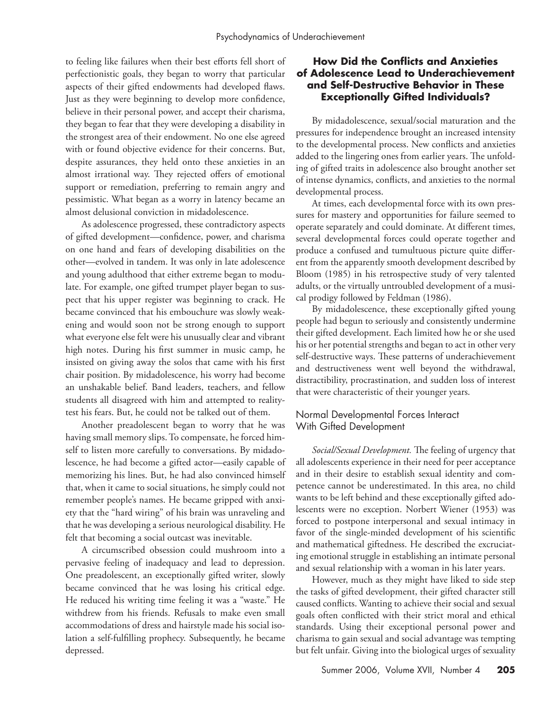to feeling like failures when their best efforts fell short of perfectionistic goals, they began to worry that particular aspects of their gifted endowments had developed flaws. Just as they were beginning to develop more confidence, believe in their personal power, and accept their charisma, they began to fear that they were developing a disability in the strongest area of their endowment. No one else agreed with or found objective evidence for their concerns. But, despite assurances, they held onto these anxieties in an almost irrational way. They rejected offers of emotional support or remediation, preferring to remain angry and pessimistic. What began as a worry in latency became an almost delusional conviction in midadolescence.

As adolescence progressed, these contradictory aspects of gifted development—confidence, power, and charisma on one hand and fears of developing disabilities on the other—evolved in tandem. It was only in late adolescence and young adulthood that either extreme began to modulate. For example, one gifted trumpet player began to suspect that his upper register was beginning to crack. He became convinced that his embouchure was slowly weakening and would soon not be strong enough to support what everyone else felt were his unusually clear and vibrant high notes. During his first summer in music camp, he insisted on giving away the solos that came with his first chair position. By midadolescence, his worry had become an unshakable belief. Band leaders, teachers, and fellow students all disagreed with him and attempted to realitytest his fears. But, he could not be talked out of them.

Another preadolescent began to worry that he was having small memory slips. To compensate, he forced himself to listen more carefully to conversations. By midadolescence, he had become a gifted actor—easily capable of memorizing his lines. But, he had also convinced himself that, when it came to social situations, he simply could not remember people's names. He became gripped with anxiety that the "hard wiring" of his brain was unraveling and that he was developing a serious neurological disability. He felt that becoming a social outcast was inevitable.

A circumscribed obsession could mushroom into a pervasive feeling of inadequacy and lead to depression. One preadolescent, an exceptionally gifted writer, slowly became convinced that he was losing his critical edge. He reduced his writing time feeling it was a "waste." He withdrew from his friends. Refusals to make even small accommodations of dress and hairstyle made his social isolation a self-fulfilling prophecy. Subsequently, he became depressed.

## **How Did the Conflicts and Anxieties of Adolescence Lead to Underachievement and Self-Destructive Behavior in These Exceptionally Gifted Individuals?**

By midadolescence, sexual/social maturation and the pressures for independence brought an increased intensity to the developmental process. New conflicts and anxieties added to the lingering ones from earlier years. The unfolding of gifted traits in adolescence also brought another set of intense dynamics, conflicts, and anxieties to the normal developmental process.

At times, each developmental force with its own pressures for mastery and opportunities for failure seemed to operate separately and could dominate. At different times, several developmental forces could operate together and produce a confused and tumultuous picture quite different from the apparently smooth development described by Bloom (1985) in his retrospective study of very talented adults, or the virtually untroubled development of a musical prodigy followed by Feldman (1986).

By midadolescence, these exceptionally gifted young people had begun to seriously and consistently undermine their gifted development. Each limited how he or she used his or her potential strengths and began to act in other very self-destructive ways. These patterns of underachievement and destructiveness went well beyond the withdrawal, distractibility, procrastination, and sudden loss of interest that were characteristic of their younger years.

## Normal Developmental Forces Interact With Gifted Development

*Social/Sexual Development.* The feeling of urgency that all adolescents experience in their need for peer acceptance and in their desire to establish sexual identity and competence cannot be underestimated. In this area, no child wants to be left behind and these exceptionally gifted adolescents were no exception. Norbert Wiener (1953) was forced to postpone interpersonal and sexual intimacy in favor of the single-minded development of his scientific and mathematical giftedness. He described the excruciating emotional struggle in establishing an intimate personal and sexual relationship with a woman in his later years.

However, much as they might have liked to side step the tasks of gifted development, their gifted character still caused conflicts. Wanting to achieve their social and sexual goals often conflicted with their strict moral and ethical standards. Using their exceptional personal power and charisma to gain sexual and social advantage was tempting but felt unfair. Giving into the biological urges of sexuality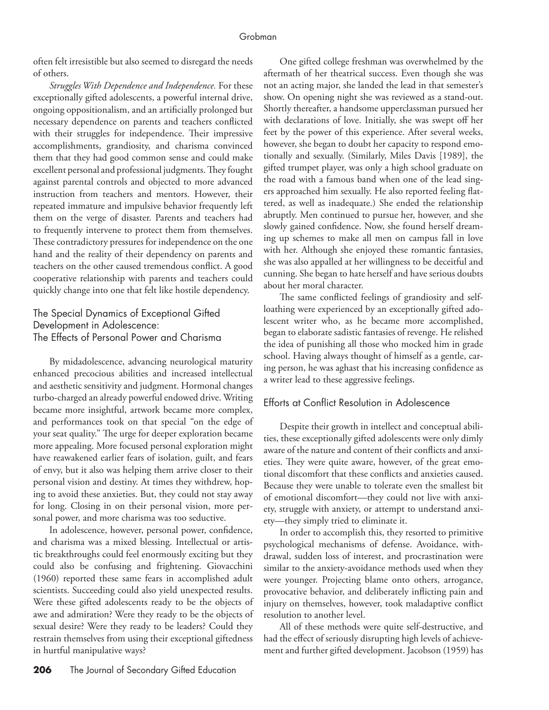often felt irresistible but also seemed to disregard the needs of others.

*Struggles With Dependence and Independence.* For these exceptionally gifted adolescents, a powerful internal drive, ongoing oppositionalism, and an artificially prolonged but necessary dependence on parents and teachers conflicted with their struggles for independence. Their impressive accomplishments, grandiosity, and charisma convinced them that they had good common sense and could make excellent personal and professional judgments. They fought against parental controls and objected to more advanced instruction from teachers and mentors. However, their repeated immature and impulsive behavior frequently left them on the verge of disaster. Parents and teachers had to frequently intervene to protect them from themselves. These contradictory pressures for independence on the one hand and the reality of their dependency on parents and teachers on the other caused tremendous conflict. A good cooperative relationship with parents and teachers could quickly change into one that felt like hostile dependency.

## The Special Dynamics of Exceptional Gifted Development in Adolescence: The Effects of Personal Power and Charisma

By midadolescence, advancing neurological maturity enhanced precocious abilities and increased intellectual and aesthetic sensitivity and judgment. Hormonal changes turbo-charged an already powerful endowed drive. Writing became more insightful, artwork became more complex, and performances took on that special "on the edge of your seat quality." The urge for deeper exploration became more appealing. More focused personal exploration might have reawakened earlier fears of isolation, guilt, and fears of envy, but it also was helping them arrive closer to their personal vision and destiny. At times they withdrew, hoping to avoid these anxieties. But, they could not stay away for long. Closing in on their personal vision, more personal power, and more charisma was too seductive.

In adolescence, however, personal power, confidence, and charisma was a mixed blessing. Intellectual or artistic breakthroughs could feel enormously exciting but they could also be confusing and frightening. Giovacchini (1960) reported these same fears in accomplished adult scientists. Succeeding could also yield unexpected results. Were these gifted adolescents ready to be the objects of awe and admiration? Were they ready to be the objects of sexual desire? Were they ready to be leaders? Could they restrain themselves from using their exceptional giftedness in hurtful manipulative ways?

One gifted college freshman was overwhelmed by the aftermath of her theatrical success. Even though she was not an acting major, she landed the lead in that semester's show. On opening night she was reviewed as a stand-out. Shortly thereafter, a handsome upperclassman pursued her with declarations of love. Initially, she was swept off her feet by the power of this experience. After several weeks, however, she began to doubt her capacity to respond emotionally and sexually. (Similarly, Miles Davis [1989], the gifted trumpet player, was only a high school graduate on the road with a famous band when one of the lead singers approached him sexually. He also reported feeling flattered, as well as inadequate.) She ended the relationship abruptly. Men continued to pursue her, however, and she slowly gained confidence. Now, she found herself dreaming up schemes to make all men on campus fall in love with her. Although she enjoyed these romantic fantasies, she was also appalled at her willingness to be deceitful and cunning. She began to hate herself and have serious doubts about her moral character.

The same conflicted feelings of grandiosity and selfloathing were experienced by an exceptionally gifted adolescent writer who, as he became more accomplished, began to elaborate sadistic fantasies of revenge. He relished the idea of punishing all those who mocked him in grade school. Having always thought of himself as a gentle, caring person, he was aghast that his increasing confidence as a writer lead to these aggressive feelings.

## Efforts at Conflict Resolution in Adolescence

Despite their growth in intellect and conceptual abilities, these exceptionally gifted adolescents were only dimly aware of the nature and content of their conflicts and anxieties. They were quite aware, however, of the great emotional discomfort that these conflicts and anxieties caused. Because they were unable to tolerate even the smallest bit of emotional discomfort—they could not live with anxiety, struggle with anxiety, or attempt to understand anxiety—they simply tried to eliminate it.

In order to accomplish this, they resorted to primitive psychological mechanisms of defense. Avoidance, withdrawal, sudden loss of interest, and procrastination were similar to the anxiety-avoidance methods used when they were younger. Projecting blame onto others, arrogance, provocative behavior, and deliberately inflicting pain and injury on themselves, however, took maladaptive conflict resolution to another level.

All of these methods were quite self-destructive, and had the effect of seriously disrupting high levels of achievement and further gifted development. Jacobson (1959) has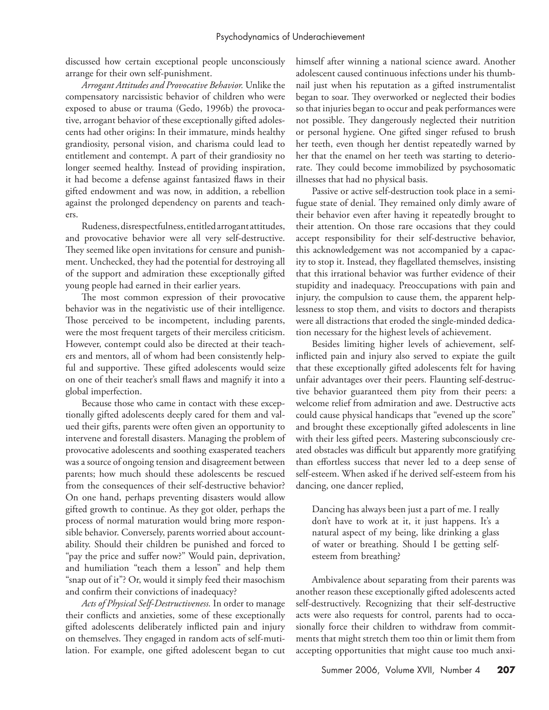discussed how certain exceptional people unconsciously arrange for their own self-punishment.

*Arrogant Attitudes and Provocative Behavior.* Unlike the compensatory narcissistic behavior of children who were exposed to abuse or trauma (Gedo, 1996b) the provocative, arrogant behavior of these exceptionally gifted adolescents had other origins: In their immature, minds healthy grandiosity, personal vision, and charisma could lead to entitlement and contempt. A part of their grandiosity no longer seemed healthy. Instead of providing inspiration, it had become a defense against fantasized flaws in their gifted endowment and was now, in addition, a rebellion against the prolonged dependency on parents and teachers.

Rudeness, disrespectfulness, entitled arrogant attitudes, and provocative behavior were all very self-destructive. They seemed like open invitations for censure and punishment. Unchecked, they had the potential for destroying all of the support and admiration these exceptionally gifted young people had earned in their earlier years.

The most common expression of their provocative behavior was in the negativistic use of their intelligence. Those perceived to be incompetent, including parents, were the most frequent targets of their merciless criticism. However, contempt could also be directed at their teachers and mentors, all of whom had been consistently helpful and supportive. These gifted adolescents would seize on one of their teacher's small flaws and magnify it into a global imperfection.

Because those who came in contact with these exceptionally gifted adolescents deeply cared for them and valued their gifts, parents were often given an opportunity to intervene and forestall disasters. Managing the problem of provocative adolescents and soothing exasperated teachers was a source of ongoing tension and disagreement between parents; how much should these adolescents be rescued from the consequences of their self-destructive behavior? On one hand, perhaps preventing disasters would allow gifted growth to continue. As they got older, perhaps the process of normal maturation would bring more responsible behavior. Conversely, parents worried about accountability. Should their children be punished and forced to "pay the price and suffer now?" Would pain, deprivation, and humiliation "teach them a lesson" and help them "snap out of it"? Or, would it simply feed their masochism and confirm their convictions of inadequacy?

*Acts of Physical Self-Destructiveness.* In order to manage their conflicts and anxieties, some of these exceptionally gifted adolescents deliberately inflicted pain and injury on themselves. They engaged in random acts of self-mutilation. For example, one gifted adolescent began to cut himself after winning a national science award. Another adolescent caused continuous infections under his thumbnail just when his reputation as a gifted instrumentalist began to soar. They overworked or neglected their bodies so that injuries began to occur and peak performances were not possible. They dangerously neglected their nutrition or personal hygiene. One gifted singer refused to brush her teeth, even though her dentist repeatedly warned by her that the enamel on her teeth was starting to deteriorate. They could become immobilized by psychosomatic illnesses that had no physical basis.

Passive or active self-destruction took place in a semifugue state of denial. They remained only dimly aware of their behavior even after having it repeatedly brought to their attention. On those rare occasions that they could accept responsibility for their self-destructive behavior, this acknowledgement was not accompanied by a capacity to stop it. Instead, they flagellated themselves, insisting that this irrational behavior was further evidence of their stupidity and inadequacy. Preoccupations with pain and injury, the compulsion to cause them, the apparent helplessness to stop them, and visits to doctors and therapists were all distractions that eroded the single-minded dedication necessary for the highest levels of achievement.

Besides limiting higher levels of achievement, selfinflicted pain and injury also served to expiate the guilt that these exceptionally gifted adolescents felt for having unfair advantages over their peers. Flaunting self-destructive behavior guaranteed them pity from their peers: a welcome relief from admiration and awe. Destructive acts could cause physical handicaps that "evened up the score" and brought these exceptionally gifted adolescents in line with their less gifted peers. Mastering subconsciously created obstacles was difficult but apparently more gratifying than effortless success that never led to a deep sense of self-esteem. When asked if he derived self-esteem from his dancing, one dancer replied,

Dancing has always been just a part of me. I really don't have to work at it, it just happens. It's a natural aspect of my being, like drinking a glass of water or breathing. Should I be getting selfesteem from breathing?

Ambivalence about separating from their parents was another reason these exceptionally gifted adolescents acted self-destructively. Recognizing that their self-destructive acts were also requests for control, parents had to occasionally force their children to withdraw from commitments that might stretch them too thin or limit them from accepting opportunities that might cause too much anxi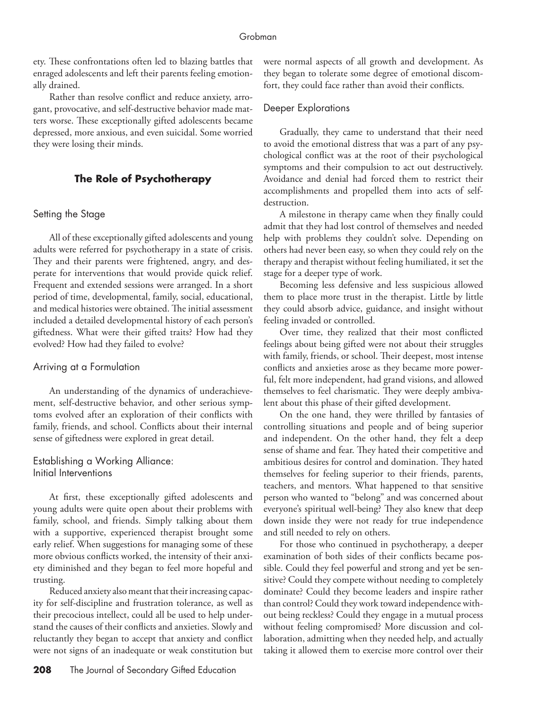ety. These confrontations often led to blazing battles that enraged adolescents and left their parents feeling emotionally drained.

Rather than resolve conflict and reduce anxiety, arrogant, provocative, and self-destructive behavior made matters worse. These exceptionally gifted adolescents became depressed, more anxious, and even suicidal. Some worried they were losing their minds.

# **The Role of Psychotherapy**

#### Setting the Stage

All of these exceptionally gifted adolescents and young adults were referred for psychotherapy in a state of crisis. They and their parents were frightened, angry, and desperate for interventions that would provide quick relief. Frequent and extended sessions were arranged. In a short period of time, developmental, family, social, educational, and medical histories were obtained. The initial assessment included a detailed developmental history of each person's giftedness. What were their gifted traits? How had they evolved? How had they failed to evolve?

#### Arriving at a Formulation

An understanding of the dynamics of underachievement, self-destructive behavior, and other serious symptoms evolved after an exploration of their conflicts with family, friends, and school. Conflicts about their internal sense of giftedness were explored in great detail.

## Establishing a Working Alliance: Initial Interventions

At first, these exceptionally gifted adolescents and young adults were quite open about their problems with family, school, and friends. Simply talking about them with a supportive, experienced therapist brought some early relief. When suggestions for managing some of these more obvious conflicts worked, the intensity of their anxiety diminished and they began to feel more hopeful and trusting.

Reduced anxiety also meant that their increasing capacity for self-discipline and frustration tolerance, as well as their precocious intellect, could all be used to help understand the causes of their conflicts and anxieties. Slowly and reluctantly they began to accept that anxiety and conflict were not signs of an inadequate or weak constitution but

#### Deeper Explorations

Gradually, they came to understand that their need to avoid the emotional distress that was a part of any psychological conflict was at the root of their psychological symptoms and their compulsion to act out destructively. Avoidance and denial had forced them to restrict their accomplishments and propelled them into acts of selfdestruction.

A milestone in therapy came when they finally could admit that they had lost control of themselves and needed help with problems they couldn't solve. Depending on others had never been easy, so when they could rely on the therapy and therapist without feeling humiliated, it set the stage for a deeper type of work.

Becoming less defensive and less suspicious allowed them to place more trust in the therapist. Little by little they could absorb advice, guidance, and insight without feeling invaded or controlled.

Over time, they realized that their most conflicted feelings about being gifted were not about their struggles with family, friends, or school. Their deepest, most intense conflicts and anxieties arose as they became more powerful, felt more independent, had grand visions, and allowed themselves to feel charismatic. They were deeply ambivalent about this phase of their gifted development.

On the one hand, they were thrilled by fantasies of controlling situations and people and of being superior and independent. On the other hand, they felt a deep sense of shame and fear. They hated their competitive and ambitious desires for control and domination. They hated themselves for feeling superior to their friends, parents, teachers, and mentors. What happened to that sensitive person who wanted to "belong" and was concerned about everyone's spiritual well-being? They also knew that deep down inside they were not ready for true independence and still needed to rely on others.

For those who continued in psychotherapy, a deeper examination of both sides of their conflicts became possible. Could they feel powerful and strong and yet be sensitive? Could they compete without needing to completely dominate? Could they become leaders and inspire rather than control? Could they work toward independence without being reckless? Could they engage in a mutual process without feeling compromised? More discussion and collaboration, admitting when they needed help, and actually taking it allowed them to exercise more control over their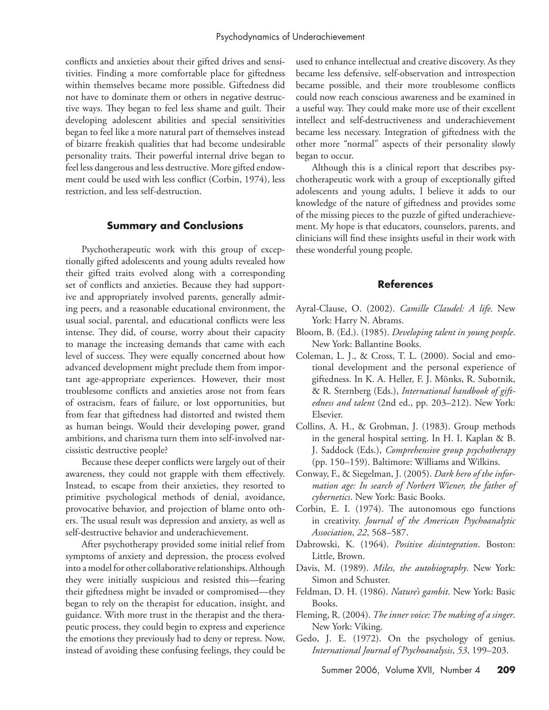conflicts and anxieties about their gifted drives and sensitivities. Finding a more comfortable place for giftedness within themselves became more possible. Giftedness did not have to dominate them or others in negative destructive ways. They began to feel less shame and guilt. Their developing adolescent abilities and special sensitivities began to feel like a more natural part of themselves instead of bizarre freakish qualities that had become undesirable personality traits. Their powerful internal drive began to feel less dangerous and less destructive. More gifted endowment could be used with less conflict (Corbin, 1974), less restriction, and less self-destruction.

# **Summary and Conclusions**

Psychotherapeutic work with this group of exceptionally gifted adolescents and young adults revealed how their gifted traits evolved along with a corresponding set of conflicts and anxieties. Because they had supportive and appropriately involved parents, generally admiring peers, and a reasonable educational environment, the usual social, parental, and educational conflicts were less intense. They did, of course, worry about their capacity to manage the increasing demands that came with each level of success. They were equally concerned about how advanced development might preclude them from important age-appropriate experiences. However, their most troublesome conflicts and anxieties arose not from fears of ostracism, fears of failure, or lost opportunities, but from fear that giftedness had distorted and twisted them as human beings. Would their developing power, grand ambitions, and charisma turn them into self-involved narcissistic destructive people?

Because these deeper conflicts were largely out of their awareness, they could not grapple with them effectively. Instead, to escape from their anxieties, they resorted to primitive psychological methods of denial, avoidance, provocative behavior, and projection of blame onto others. The usual result was depression and anxiety, as well as self-destructive behavior and underachievement.

After psychotherapy provided some initial relief from symptoms of anxiety and depression, the process evolved into a model for other collaborative relationships. Although they were initially suspicious and resisted this—fearing their giftedness might be invaded or compromised—they began to rely on the therapist for education, insight, and guidance. With more trust in the therapist and the therapeutic process, they could begin to express and experience the emotions they previously had to deny or repress. Now, instead of avoiding these confusing feelings, they could be used to enhance intellectual and creative discovery. As they became less defensive, self-observation and introspection became possible, and their more troublesome conflicts could now reach conscious awareness and be examined in a useful way. They could make more use of their excellent intellect and self-destructiveness and underachievement became less necessary. Integration of giftedness with the other more "normal" aspects of their personality slowly began to occur.

Although this is a clinical report that describes psychotherapeutic work with a group of exceptionally gifted adolescents and young adults, I believe it adds to our knowledge of the nature of giftedness and provides some of the missing pieces to the puzzle of gifted underachievement. My hope is that educators, counselors, parents, and clinicians will find these insights useful in their work with these wonderful young people.

#### **References**

- Ayral-Clause, O. (2002). *Camille Claudel: A life*. New York: Harry N. Abrams.
- Bloom, B. (Ed.). (1985). *Developing talent in young people*. New York: Ballantine Books.
- Coleman, L. J., & Cross, T. L. (2000). Social and emotional development and the personal experience of giftedness. In K. A. Heller, F. J. Mönks, R. Subotnik, & R. Sternberg (Eds.), *International handbook of giftedness and talent* (2nd ed., pp. 203–212). New York: Elsevier.
- Collins, A. H., & Grobman, J. (1983). Group methods in the general hospital setting. In H. I. Kaplan & B. J. Saddock (Eds.), *Comprehensive group psychotherapy*  (pp. 150–159). Baltimore: Williams and Wilkins.
- Conway, F., & Siegelman, J. (2005). *Dark hero of the information age: In search of Norbert Wiener, the father of cybernetics*. New York: Basic Books.
- Corbin, E. I. (1974). The autonomous ego functions in creativity. *Journal of the American Psychoanalytic Association*, *22*, 568–587.
- Dabrowski, K. (1964). *Positive disintegration*. Boston: Little, Brown.
- Davis, M. (1989). *Miles, the autobiography*. New York: Simon and Schuster.
- Feldman, D. H. (1986). *Nature's gambit*. New York: Basic Books.
- Fleming, R. (2004). *The inner voice: The making of a singer*. New York: Viking.
- Gedo, J. E. (1972). On the psychology of genius. *International Journal of Psychoanalysis*, *53*, 199–203.